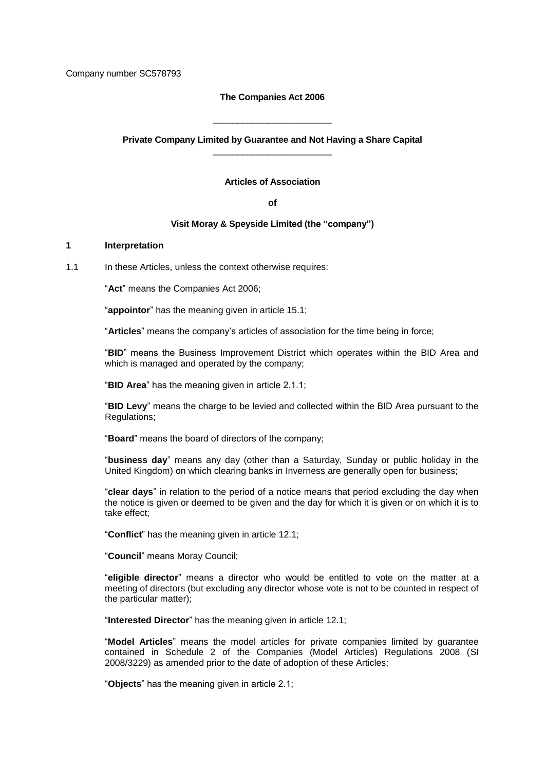Company number SC578793

#### **The Companies Act 2006**

**Private Company Limited by Guarantee and Not Having a Share Capital** \_\_\_\_\_\_\_\_\_\_\_\_\_\_\_\_\_\_\_\_\_\_\_\_

\_\_\_\_\_\_\_\_\_\_\_\_\_\_\_\_\_\_\_\_\_\_\_\_

**Articles of Association**

**of**

#### **Visit Moray & Speyside Limited (the "company")**

## **1 Interpretation**

1.1 In these Articles, unless the context otherwise requires:

"**Act**" means the Companies Act 2006;

"**appointor**" has the meaning given in article 15.1;

"**Articles**" means the company's articles of association for the time being in force;

"**BID**" means the Business Improvement District which operates within the BID Area and which is managed and operated by the company;

"**BID Area**" has the meaning given in article 2.1.1;

"**BID Levy**" means the charge to be levied and collected within the BID Area pursuant to the Regulations;

"**Board**" means the board of directors of the company;

"**business day**" means any day (other than a Saturday, Sunday or public holiday in the United Kingdom) on which clearing banks in Inverness are generally open for business;

"**clear days**" in relation to the period of a notice means that period excluding the day when the notice is given or deemed to be given and the day for which it is given or on which it is to take effect;

"**Conflict**" has the meaning given in article 12.1;

"**Council**" means Moray Council;

"**eligible director**" means a director who would be entitled to vote on the matter at a meeting of directors (but excluding any director whose vote is not to be counted in respect of the particular matter);

"**Interested Director**" has the meaning given in article 12.1;

"**Model Articles**" means the model articles for private companies limited by guarantee contained in Schedule 2 of the Companies (Model Articles) Regulations 2008 (SI 2008/3229) as amended prior to the date of adoption of these Articles;

"**Objects**" has the meaning given in article 2.1;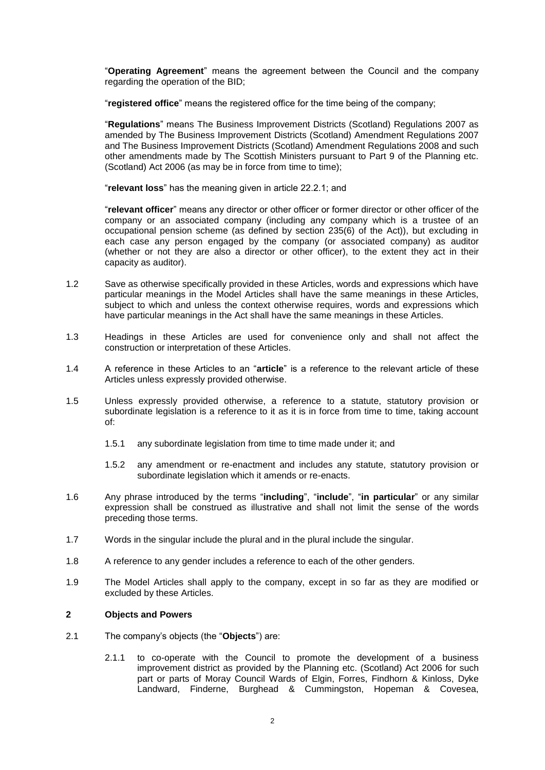"**Operating Agreement**" means the agreement between the Council and the company regarding the operation of the BID;

"**registered office**" means the registered office for the time being of the company;

"**Regulations**" means The Business Improvement Districts (Scotland) Regulations 2007 as amended by The Business Improvement Districts (Scotland) Amendment Regulations 2007 and The Business Improvement Districts (Scotland) Amendment Regulations 2008 and such other amendments made by The Scottish Ministers pursuant to Part 9 of the Planning etc. (Scotland) Act 2006 (as may be in force from time to time);

"**relevant loss**" has the meaning given in article 22.2.1; and

"**relevant officer**" means any director or other officer or former director or other officer of the company or an associated company (including any company which is a trustee of an occupational pension scheme (as defined by section 235(6) of the Act)), but excluding in each case any person engaged by the company (or associated company) as auditor (whether or not they are also a director or other officer), to the extent they act in their capacity as auditor).

- 1.2 Save as otherwise specifically provided in these Articles, words and expressions which have particular meanings in the Model Articles shall have the same meanings in these Articles, subject to which and unless the context otherwise requires, words and expressions which have particular meanings in the Act shall have the same meanings in these Articles.
- 1.3 Headings in these Articles are used for convenience only and shall not affect the construction or interpretation of these Articles.
- 1.4 A reference in these Articles to an "**article**" is a reference to the relevant article of these Articles unless expressly provided otherwise.
- 1.5 Unless expressly provided otherwise, a reference to a statute, statutory provision or subordinate legislation is a reference to it as it is in force from time to time, taking account of:
	- 1.5.1 any subordinate legislation from time to time made under it; and
	- 1.5.2 any amendment or re-enactment and includes any statute, statutory provision or subordinate legislation which it amends or re-enacts.
- 1.6 Any phrase introduced by the terms "**including**", "**include**", "**in particular**" or any similar expression shall be construed as illustrative and shall not limit the sense of the words preceding those terms.
- 1.7 Words in the singular include the plural and in the plural include the singular.
- 1.8 A reference to any gender includes a reference to each of the other genders.
- 1.9 The Model Articles shall apply to the company, except in so far as they are modified or excluded by these Articles.

## **2 Objects and Powers**

- 2.1 The company's objects (the "**Objects**") are:
	- 2.1.1 to co-operate with the Council to promote the development of a business improvement district as provided by the Planning etc. (Scotland) Act 2006 for such part or parts of Moray Council Wards of Elgin, Forres, Findhorn & Kinloss, Dyke Landward, Finderne, Burghead & Cummingston, Hopeman & Covesea,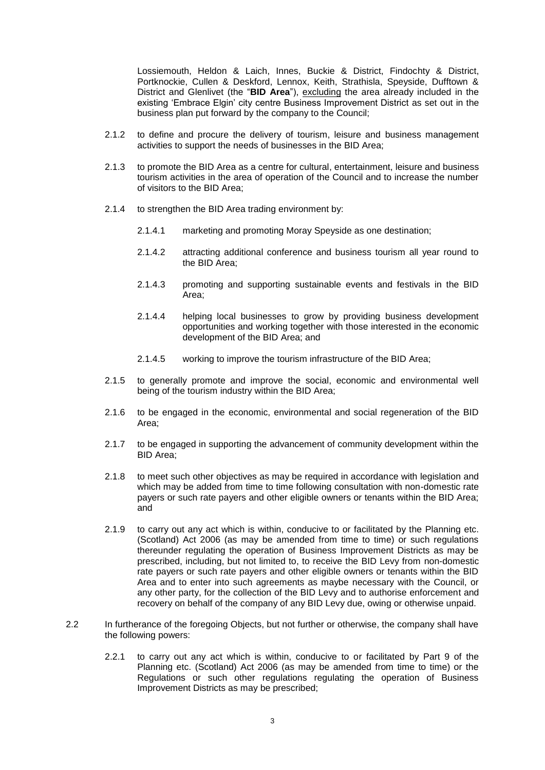Lossiemouth, Heldon & Laich, Innes, Buckie & District, Findochty & District, Portknockie, Cullen & Deskford, Lennox, Keith, Strathisla, Speyside, Dufftown & District and Glenlivet (the "**BID Area**"), excluding the area already included in the existing 'Embrace Elgin' city centre Business Improvement District as set out in the business plan put forward by the company to the Council;

- 2.1.2 to define and procure the delivery of tourism, leisure and business management activities to support the needs of businesses in the BID Area;
- 2.1.3 to promote the BID Area as a centre for cultural, entertainment, leisure and business tourism activities in the area of operation of the Council and to increase the number of visitors to the BID Area;
- 2.1.4 to strengthen the BID Area trading environment by:
	- 2.1.4.1 marketing and promoting Moray Speyside as one destination;
	- 2.1.4.2 attracting additional conference and business tourism all year round to the BID Area;
	- 2.1.4.3 promoting and supporting sustainable events and festivals in the BID Area;
	- 2.1.4.4 helping local businesses to grow by providing business development opportunities and working together with those interested in the economic development of the BID Area; and
	- 2.1.4.5 working to improve the tourism infrastructure of the BID Area;
- 2.1.5 to generally promote and improve the social, economic and environmental well being of the tourism industry within the BID Area;
- 2.1.6 to be engaged in the economic, environmental and social regeneration of the BID Area;
- 2.1.7 to be engaged in supporting the advancement of community development within the BID Area;
- 2.1.8 to meet such other objectives as may be required in accordance with legislation and which may be added from time to time following consultation with non-domestic rate payers or such rate payers and other eligible owners or tenants within the BID Area; and
- 2.1.9 to carry out any act which is within, conducive to or facilitated by the Planning etc. (Scotland) Act 2006 (as may be amended from time to time) or such regulations thereunder regulating the operation of Business Improvement Districts as may be prescribed, including, but not limited to, to receive the BID Levy from non-domestic rate payers or such rate payers and other eligible owners or tenants within the BID Area and to enter into such agreements as maybe necessary with the Council, or any other party, for the collection of the BID Levy and to authorise enforcement and recovery on behalf of the company of any BID Levy due, owing or otherwise unpaid.
- 2.2 In furtherance of the foregoing Objects, but not further or otherwise, the company shall have the following powers:
	- 2.2.1 to carry out any act which is within, conducive to or facilitated by Part 9 of the Planning etc. (Scotland) Act 2006 (as may be amended from time to time) or the Regulations or such other regulations regulating the operation of Business Improvement Districts as may be prescribed;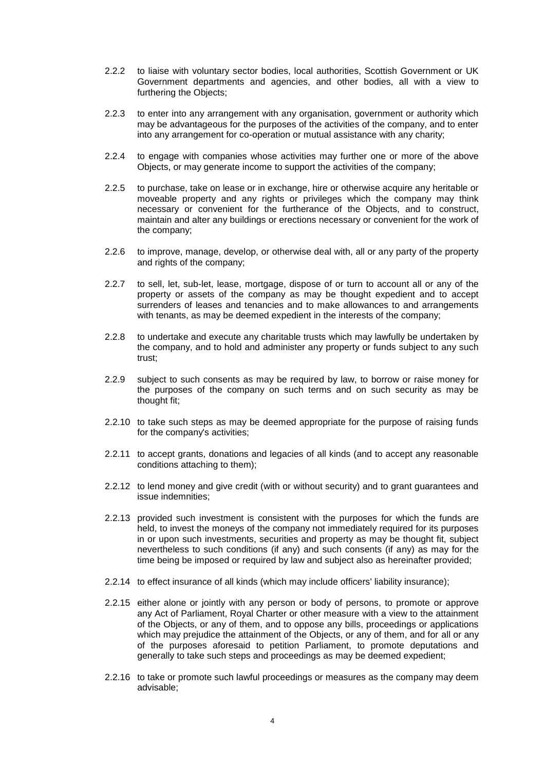- 2.2.2 to liaise with voluntary sector bodies, local authorities, Scottish Government or UK Government departments and agencies, and other bodies, all with a view to furthering the Objects;
- 2.2.3 to enter into any arrangement with any organisation, government or authority which may be advantageous for the purposes of the activities of the company, and to enter into any arrangement for co-operation or mutual assistance with any charity;
- 2.2.4 to engage with companies whose activities may further one or more of the above Objects, or may generate income to support the activities of the company;
- 2.2.5 to purchase, take on lease or in exchange, hire or otherwise acquire any heritable or moveable property and any rights or privileges which the company may think necessary or convenient for the furtherance of the Objects, and to construct, maintain and alter any buildings or erections necessary or convenient for the work of the company;
- 2.2.6 to improve, manage, develop, or otherwise deal with, all or any party of the property and rights of the company;
- 2.2.7 to sell, let, sub-let, lease, mortgage, dispose of or turn to account all or any of the property or assets of the company as may be thought expedient and to accept surrenders of leases and tenancies and to make allowances to and arrangements with tenants, as may be deemed expedient in the interests of the company;
- 2.2.8 to undertake and execute any charitable trusts which may lawfully be undertaken by the company, and to hold and administer any property or funds subject to any such trust;
- 2.2.9 subject to such consents as may be required by law, to borrow or raise money for the purposes of the company on such terms and on such security as may be thought fit;
- 2.2.10 to take such steps as may be deemed appropriate for the purpose of raising funds for the company's activities;
- 2.2.11 to accept grants, donations and legacies of all kinds (and to accept any reasonable conditions attaching to them);
- 2.2.12 to lend money and give credit (with or without security) and to grant guarantees and issue indemnities;
- 2.2.13 provided such investment is consistent with the purposes for which the funds are held, to invest the moneys of the company not immediately required for its purposes in or upon such investments, securities and property as may be thought fit, subject nevertheless to such conditions (if any) and such consents (if any) as may for the time being be imposed or required by law and subject also as hereinafter provided;
- 2.2.14 to effect insurance of all kinds (which may include officers' liability insurance);
- 2.2.15 either alone or jointly with any person or body of persons, to promote or approve any Act of Parliament, Royal Charter or other measure with a view to the attainment of the Objects, or any of them, and to oppose any bills, proceedings or applications which may prejudice the attainment of the Objects, or any of them, and for all or any of the purposes aforesaid to petition Parliament, to promote deputations and generally to take such steps and proceedings as may be deemed expedient;
- 2.2.16 to take or promote such lawful proceedings or measures as the company may deem advisable;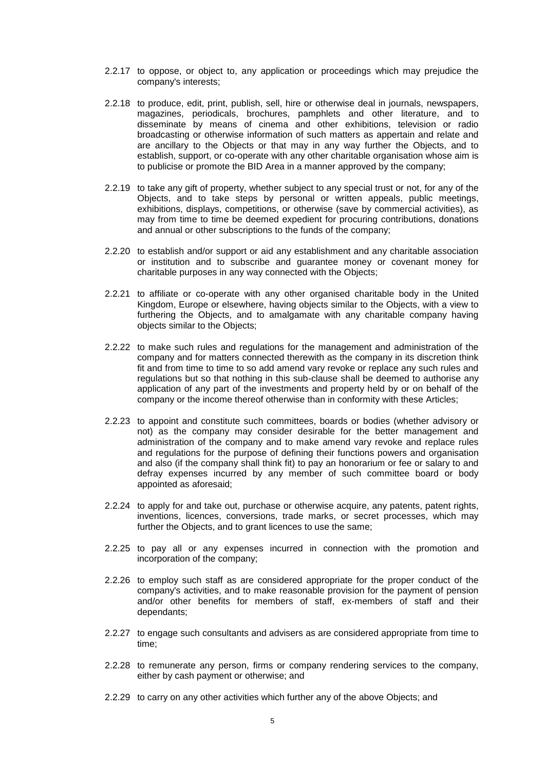- 2.2.17 to oppose, or object to, any application or proceedings which may prejudice the company's interests;
- 2.2.18 to produce, edit, print, publish, sell, hire or otherwise deal in journals, newspapers, magazines, periodicals, brochures, pamphlets and other literature, and to disseminate by means of cinema and other exhibitions, television or radio broadcasting or otherwise information of such matters as appertain and relate and are ancillary to the Objects or that may in any way further the Objects, and to establish, support, or co-operate with any other charitable organisation whose aim is to publicise or promote the BID Area in a manner approved by the company;
- 2.2.19 to take any gift of property, whether subject to any special trust or not, for any of the Objects, and to take steps by personal or written appeals, public meetings, exhibitions, displays, competitions, or otherwise (save by commercial activities), as may from time to time be deemed expedient for procuring contributions, donations and annual or other subscriptions to the funds of the company;
- 2.2.20 to establish and/or support or aid any establishment and any charitable association or institution and to subscribe and guarantee money or covenant money for charitable purposes in any way connected with the Objects;
- 2.2.21 to affiliate or co-operate with any other organised charitable body in the United Kingdom, Europe or elsewhere, having objects similar to the Objects, with a view to furthering the Objects, and to amalgamate with any charitable company having objects similar to the Objects;
- 2.2.22 to make such rules and regulations for the management and administration of the company and for matters connected therewith as the company in its discretion think fit and from time to time to so add amend vary revoke or replace any such rules and regulations but so that nothing in this sub-clause shall be deemed to authorise any application of any part of the investments and property held by or on behalf of the company or the income thereof otherwise than in conformity with these Articles;
- 2.2.23 to appoint and constitute such committees, boards or bodies (whether advisory or not) as the company may consider desirable for the better management and administration of the company and to make amend vary revoke and replace rules and regulations for the purpose of defining their functions powers and organisation and also (if the company shall think fit) to pay an honorarium or fee or salary to and defray expenses incurred by any member of such committee board or body appointed as aforesaid;
- 2.2.24 to apply for and take out, purchase or otherwise acquire, any patents, patent rights, inventions, licences, conversions, trade marks, or secret processes, which may further the Objects, and to grant licences to use the same;
- 2.2.25 to pay all or any expenses incurred in connection with the promotion and incorporation of the company;
- 2.2.26 to employ such staff as are considered appropriate for the proper conduct of the company's activities, and to make reasonable provision for the payment of pension and/or other benefits for members of staff, ex-members of staff and their dependants;
- 2.2.27 to engage such consultants and advisers as are considered appropriate from time to time;
- 2.2.28 to remunerate any person, firms or company rendering services to the company, either by cash payment or otherwise; and
- 2.2.29 to carry on any other activities which further any of the above Objects; and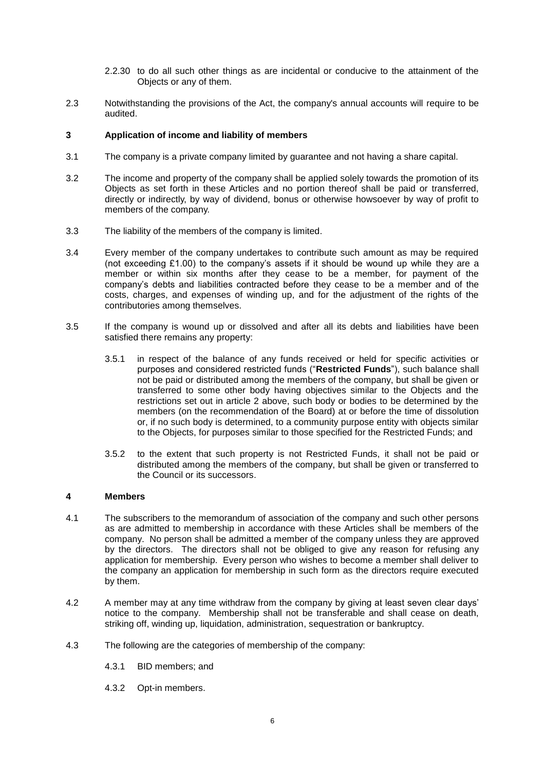- 2.2.30 to do all such other things as are incidental or conducive to the attainment of the Objects or any of them.
- 2.3 Notwithstanding the provisions of the Act, the company's annual accounts will require to be audited.

# **3 Application of income and liability of members**

- 3.1 The company is a private company limited by guarantee and not having a share capital.
- 3.2 The income and property of the company shall be applied solely towards the promotion of its Objects as set forth in these Articles and no portion thereof shall be paid or transferred, directly or indirectly, by way of dividend, bonus or otherwise howsoever by way of profit to members of the company.
- 3.3 The liability of the members of the company is limited.
- 3.4 Every member of the company undertakes to contribute such amount as may be required (not exceeding £1.00) to the company's assets if it should be wound up while they are a member or within six months after they cease to be a member, for payment of the company's debts and liabilities contracted before they cease to be a member and of the costs, charges, and expenses of winding up, and for the adjustment of the rights of the contributories among themselves.
- 3.5 If the company is wound up or dissolved and after all its debts and liabilities have been satisfied there remains any property:
	- 3.5.1 in respect of the balance of any funds received or held for specific activities or purposes and considered restricted funds ("**Restricted Funds**"), such balance shall not be paid or distributed among the members of the company, but shall be given or transferred to some other body having objectives similar to the Objects and the restrictions set out in article 2 above, such body or bodies to be determined by the members (on the recommendation of the Board) at or before the time of dissolution or, if no such body is determined, to a community purpose entity with objects similar to the Objects, for purposes similar to those specified for the Restricted Funds; and
	- 3.5.2 to the extent that such property is not Restricted Funds, it shall not be paid or distributed among the members of the company, but shall be given or transferred to the Council or its successors.

# **4 Members**

- 4.1 The subscribers to the memorandum of association of the company and such other persons as are admitted to membership in accordance with these Articles shall be members of the company. No person shall be admitted a member of the company unless they are approved by the directors. The directors shall not be obliged to give any reason for refusing any application for membership. Every person who wishes to become a member shall deliver to the company an application for membership in such form as the directors require executed by them.
- 4.2 A member may at any time withdraw from the company by giving at least seven clear days' notice to the company. Membership shall not be transferable and shall cease on death, striking off, winding up, liquidation, administration, sequestration or bankruptcy.
- 4.3 The following are the categories of membership of the company:
	- 4.3.1 BID members; and
	- 4.3.2 Opt-in members.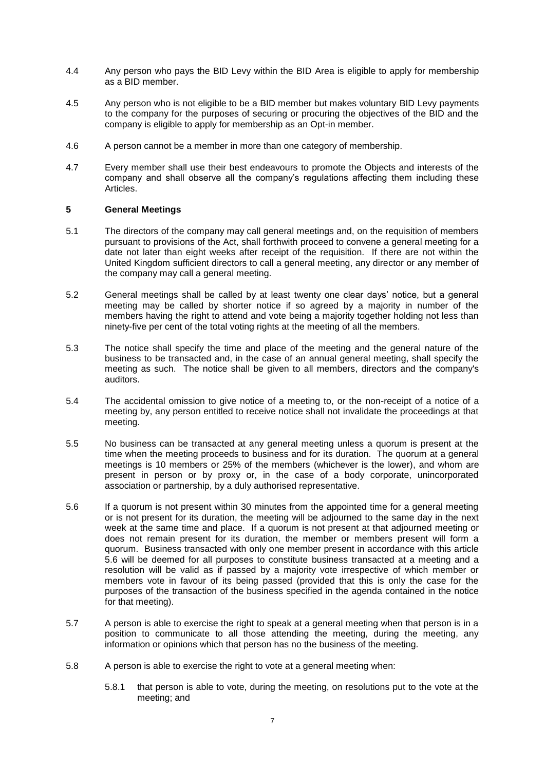- 4.4 Any person who pays the BID Levy within the BID Area is eligible to apply for membership as a BID member.
- 4.5 Any person who is not eligible to be a BID member but makes voluntary BID Levy payments to the company for the purposes of securing or procuring the objectives of the BID and the company is eligible to apply for membership as an Opt-in member.
- 4.6 A person cannot be a member in more than one category of membership.
- 4.7 Every member shall use their best endeavours to promote the Objects and interests of the company and shall observe all the company's regulations affecting them including these Articles.

# **5 General Meetings**

- 5.1 The directors of the company may call general meetings and, on the requisition of members pursuant to provisions of the Act, shall forthwith proceed to convene a general meeting for a date not later than eight weeks after receipt of the requisition. If there are not within the United Kingdom sufficient directors to call a general meeting, any director or any member of the company may call a general meeting.
- 5.2 General meetings shall be called by at least twenty one clear days' notice, but a general meeting may be called by shorter notice if so agreed by a majority in number of the members having the right to attend and vote being a majority together holding not less than ninety-five per cent of the total voting rights at the meeting of all the members.
- 5.3 The notice shall specify the time and place of the meeting and the general nature of the business to be transacted and, in the case of an annual general meeting, shall specify the meeting as such. The notice shall be given to all members, directors and the company's auditors.
- 5.4 The accidental omission to give notice of a meeting to, or the non-receipt of a notice of a meeting by, any person entitled to receive notice shall not invalidate the proceedings at that meeting.
- 5.5 No business can be transacted at any general meeting unless a quorum is present at the time when the meeting proceeds to business and for its duration. The quorum at a general meetings is 10 members or 25% of the members (whichever is the lower), and whom are present in person or by proxy or, in the case of a body corporate, unincorporated association or partnership, by a duly authorised representative.
- 5.6 If a quorum is not present within 30 minutes from the appointed time for a general meeting or is not present for its duration, the meeting will be adjourned to the same day in the next week at the same time and place. If a quorum is not present at that adjourned meeting or does not remain present for its duration, the member or members present will form a quorum. Business transacted with only one member present in accordance with this article 5.6 will be deemed for all purposes to constitute business transacted at a meeting and a resolution will be valid as if passed by a majority vote irrespective of which member or members vote in favour of its being passed (provided that this is only the case for the purposes of the transaction of the business specified in the agenda contained in the notice for that meeting).
- 5.7 A person is able to exercise the right to speak at a general meeting when that person is in a position to communicate to all those attending the meeting, during the meeting, any information or opinions which that person has no the business of the meeting.
- 5.8 A person is able to exercise the right to vote at a general meeting when:
	- 5.8.1 that person is able to vote, during the meeting, on resolutions put to the vote at the meeting; and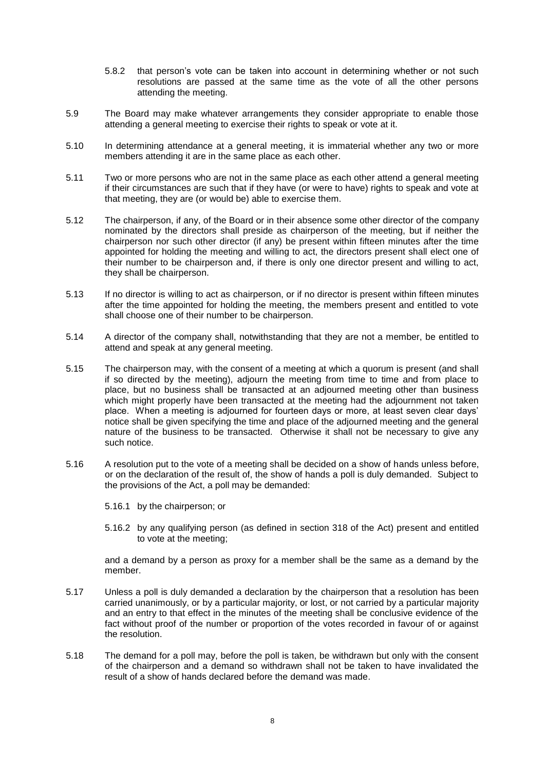- 5.8.2 that person's vote can be taken into account in determining whether or not such resolutions are passed at the same time as the vote of all the other persons attending the meeting.
- 5.9 The Board may make whatever arrangements they consider appropriate to enable those attending a general meeting to exercise their rights to speak or vote at it.
- 5.10 In determining attendance at a general meeting, it is immaterial whether any two or more members attending it are in the same place as each other.
- 5.11 Two or more persons who are not in the same place as each other attend a general meeting if their circumstances are such that if they have (or were to have) rights to speak and vote at that meeting, they are (or would be) able to exercise them.
- 5.12 The chairperson, if any, of the Board or in their absence some other director of the company nominated by the directors shall preside as chairperson of the meeting, but if neither the chairperson nor such other director (if any) be present within fifteen minutes after the time appointed for holding the meeting and willing to act, the directors present shall elect one of their number to be chairperson and, if there is only one director present and willing to act, they shall be chairperson.
- 5.13 If no director is willing to act as chairperson, or if no director is present within fifteen minutes after the time appointed for holding the meeting, the members present and entitled to vote shall choose one of their number to be chairperson.
- 5.14 A director of the company shall, notwithstanding that they are not a member, be entitled to attend and speak at any general meeting.
- 5.15 The chairperson may, with the consent of a meeting at which a quorum is present (and shall if so directed by the meeting), adjourn the meeting from time to time and from place to place, but no business shall be transacted at an adjourned meeting other than business which might properly have been transacted at the meeting had the adjournment not taken place. When a meeting is adjourned for fourteen days or more, at least seven clear days' notice shall be given specifying the time and place of the adjourned meeting and the general nature of the business to be transacted. Otherwise it shall not be necessary to give any such notice.
- 5.16 A resolution put to the vote of a meeting shall be decided on a show of hands unless before, or on the declaration of the result of, the show of hands a poll is duly demanded. Subject to the provisions of the Act, a poll may be demanded:
	- 5.16.1 by the chairperson; or
	- 5.16.2 by any qualifying person (as defined in section 318 of the Act) present and entitled to vote at the meeting;

and a demand by a person as proxy for a member shall be the same as a demand by the member.

- 5.17 Unless a poll is duly demanded a declaration by the chairperson that a resolution has been carried unanimously, or by a particular majority, or lost, or not carried by a particular majority and an entry to that effect in the minutes of the meeting shall be conclusive evidence of the fact without proof of the number or proportion of the votes recorded in favour of or against the resolution.
- 5.18 The demand for a poll may, before the poll is taken, be withdrawn but only with the consent of the chairperson and a demand so withdrawn shall not be taken to have invalidated the result of a show of hands declared before the demand was made.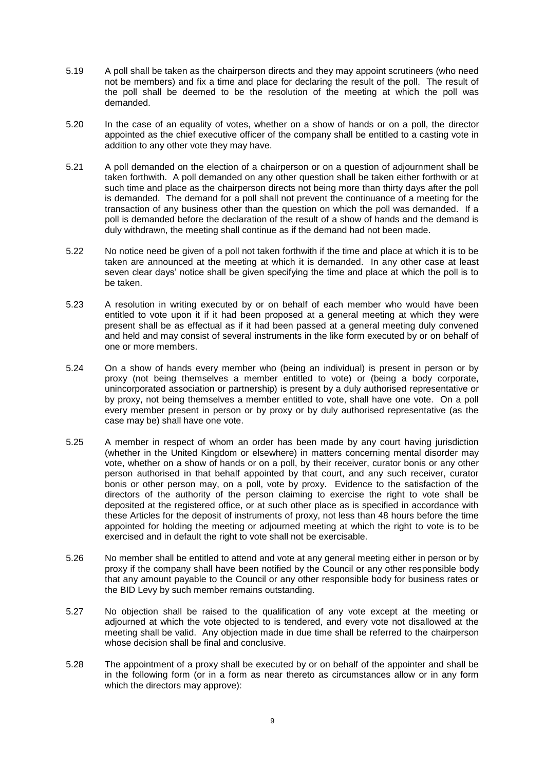- 5.19 A poll shall be taken as the chairperson directs and they may appoint scrutineers (who need not be members) and fix a time and place for declaring the result of the poll. The result of the poll shall be deemed to be the resolution of the meeting at which the poll was demanded.
- 5.20 In the case of an equality of votes, whether on a show of hands or on a poll, the director appointed as the chief executive officer of the company shall be entitled to a casting vote in addition to any other vote they may have.
- 5.21 A poll demanded on the election of a chairperson or on a question of adjournment shall be taken forthwith. A poll demanded on any other question shall be taken either forthwith or at such time and place as the chairperson directs not being more than thirty days after the poll is demanded. The demand for a poll shall not prevent the continuance of a meeting for the transaction of any business other than the question on which the poll was demanded. If a poll is demanded before the declaration of the result of a show of hands and the demand is duly withdrawn, the meeting shall continue as if the demand had not been made.
- 5.22 No notice need be given of a poll not taken forthwith if the time and place at which it is to be taken are announced at the meeting at which it is demanded. In any other case at least seven clear days' notice shall be given specifying the time and place at which the poll is to be taken.
- 5.23 A resolution in writing executed by or on behalf of each member who would have been entitled to vote upon it if it had been proposed at a general meeting at which they were present shall be as effectual as if it had been passed at a general meeting duly convened and held and may consist of several instruments in the like form executed by or on behalf of one or more members.
- 5.24 On a show of hands every member who (being an individual) is present in person or by proxy (not being themselves a member entitled to vote) or (being a body corporate, unincorporated association or partnership) is present by a duly authorised representative or by proxy, not being themselves a member entitled to vote, shall have one vote. On a poll every member present in person or by proxy or by duly authorised representative (as the case may be) shall have one vote.
- 5.25 A member in respect of whom an order has been made by any court having jurisdiction (whether in the United Kingdom or elsewhere) in matters concerning mental disorder may vote, whether on a show of hands or on a poll, by their receiver, curator bonis or any other person authorised in that behalf appointed by that court, and any such receiver, curator bonis or other person may, on a poll, vote by proxy. Evidence to the satisfaction of the directors of the authority of the person claiming to exercise the right to vote shall be deposited at the registered office, or at such other place as is specified in accordance with these Articles for the deposit of instruments of proxy, not less than 48 hours before the time appointed for holding the meeting or adjourned meeting at which the right to vote is to be exercised and in default the right to vote shall not be exercisable.
- 5.26 No member shall be entitled to attend and vote at any general meeting either in person or by proxy if the company shall have been notified by the Council or any other responsible body that any amount payable to the Council or any other responsible body for business rates or the BID Levy by such member remains outstanding.
- 5.27 No objection shall be raised to the qualification of any vote except at the meeting or adjourned at which the vote objected to is tendered, and every vote not disallowed at the meeting shall be valid. Any objection made in due time shall be referred to the chairperson whose decision shall be final and conclusive.
- 5.28 The appointment of a proxy shall be executed by or on behalf of the appointer and shall be in the following form (or in a form as near thereto as circumstances allow or in any form which the directors may approve):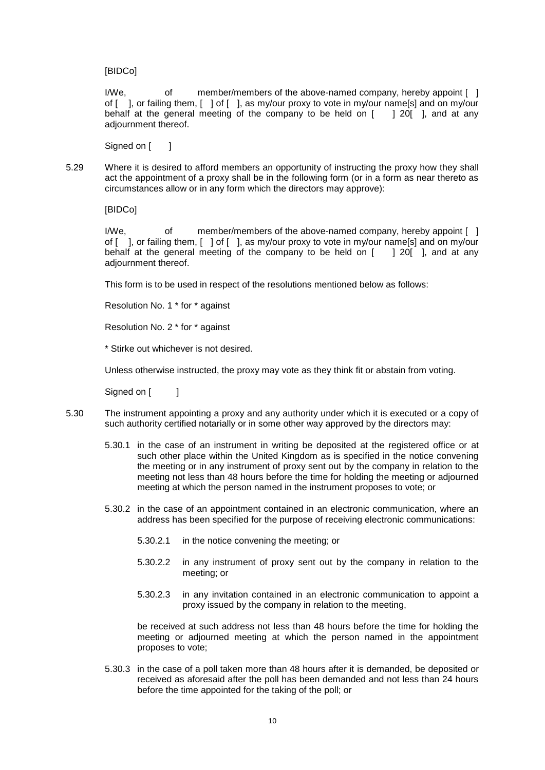[BIDCo]

I/We,  $\blacksquare$  of member/members of the above-named company, hereby appoint [ ] of [ ], or failing them, [ ] of [ ], as my/our proxy to vote in my/our name[s] and on my/our behalf at the general meeting of the company to be held on  $\lceil$  | 20 $\lceil$  |, and at any adjournment thereof.

Signed on [ ]

5.29 Where it is desired to afford members an opportunity of instructing the proxy how they shall act the appointment of a proxy shall be in the following form (or in a form as near thereto as circumstances allow or in any form which the directors may approve):

[BIDCo]

I/We, of member/members of the above-named company, hereby appoint [ ] of [ ], or failing them, [ ] of [ ], as my/our proxy to vote in my/our name[s] and on my/our behalf at the general meeting of the company to be held on [ ] 20[ ], and at any adjournment thereof.

This form is to be used in respect of the resolutions mentioned below as follows:

Resolution No. 1 \* for \* against

Resolution No. 2 \* for \* against

\* Stirke out whichever is not desired.

Unless otherwise instructed, the proxy may vote as they think fit or abstain from voting.

Signed on [ ]

- 5.30 The instrument appointing a proxy and any authority under which it is executed or a copy of such authority certified notarially or in some other way approved by the directors may:
	- 5.30.1 in the case of an instrument in writing be deposited at the registered office or at such other place within the United Kingdom as is specified in the notice convening the meeting or in any instrument of proxy sent out by the company in relation to the meeting not less than 48 hours before the time for holding the meeting or adjourned meeting at which the person named in the instrument proposes to vote; or
	- 5.30.2 in the case of an appointment contained in an electronic communication, where an address has been specified for the purpose of receiving electronic communications:
		- 5.30.2.1 in the notice convening the meeting; or
		- 5.30.2.2 in any instrument of proxy sent out by the company in relation to the meeting; or
		- 5.30.2.3 in any invitation contained in an electronic communication to appoint a proxy issued by the company in relation to the meeting,

be received at such address not less than 48 hours before the time for holding the meeting or adjourned meeting at which the person named in the appointment proposes to vote;

5.30.3 in the case of a poll taken more than 48 hours after it is demanded, be deposited or received as aforesaid after the poll has been demanded and not less than 24 hours before the time appointed for the taking of the poll; or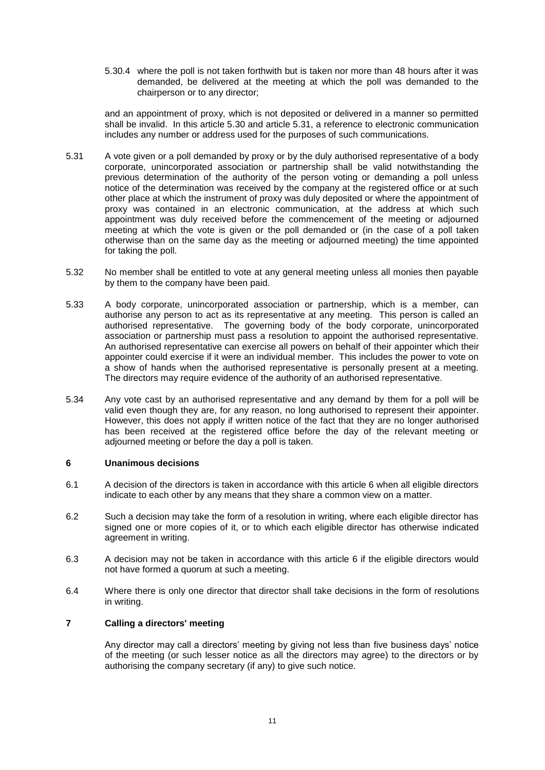5.30.4 where the poll is not taken forthwith but is taken nor more than 48 hours after it was demanded, be delivered at the meeting at which the poll was demanded to the chairperson or to any director;

and an appointment of proxy, which is not deposited or delivered in a manner so permitted shall be invalid. In this article 5.30 and article 5.31, a reference to electronic communication includes any number or address used for the purposes of such communications.

- 5.31 A vote given or a poll demanded by proxy or by the duly authorised representative of a body corporate, unincorporated association or partnership shall be valid notwithstanding the previous determination of the authority of the person voting or demanding a poll unless notice of the determination was received by the company at the registered office or at such other place at which the instrument of proxy was duly deposited or where the appointment of proxy was contained in an electronic communication, at the address at which such appointment was duly received before the commencement of the meeting or adjourned meeting at which the vote is given or the poll demanded or (in the case of a poll taken otherwise than on the same day as the meeting or adjourned meeting) the time appointed for taking the poll.
- 5.32 No member shall be entitled to vote at any general meeting unless all monies then payable by them to the company have been paid.
- 5.33 A body corporate, unincorporated association or partnership, which is a member, can authorise any person to act as its representative at any meeting. This person is called an authorised representative. The governing body of the body corporate, unincorporated association or partnership must pass a resolution to appoint the authorised representative. An authorised representative can exercise all powers on behalf of their appointer which their appointer could exercise if it were an individual member. This includes the power to vote on a show of hands when the authorised representative is personally present at a meeting. The directors may require evidence of the authority of an authorised representative.
- 5.34 Any vote cast by an authorised representative and any demand by them for a poll will be valid even though they are, for any reason, no long authorised to represent their appointer. However, this does not apply if written notice of the fact that they are no longer authorised has been received at the registered office before the day of the relevant meeting or adjourned meeting or before the day a poll is taken.

### **6 Unanimous decisions**

- 6.1 A decision of the directors is taken in accordance with this article 6 when all eligible directors indicate to each other by any means that they share a common view on a matter.
- 6.2 Such a decision may take the form of a resolution in writing, where each eligible director has signed one or more copies of it, or to which each eligible director has otherwise indicated agreement in writing.
- 6.3 A decision may not be taken in accordance with this article 6 if the eligible directors would not have formed a quorum at such a meeting.
- 6.4 Where there is only one director that director shall take decisions in the form of resolutions in writing.

# **7 Calling a directors' meeting**

Any director may call a directors' meeting by giving not less than five business days' notice of the meeting (or such lesser notice as all the directors may agree) to the directors or by authorising the company secretary (if any) to give such notice.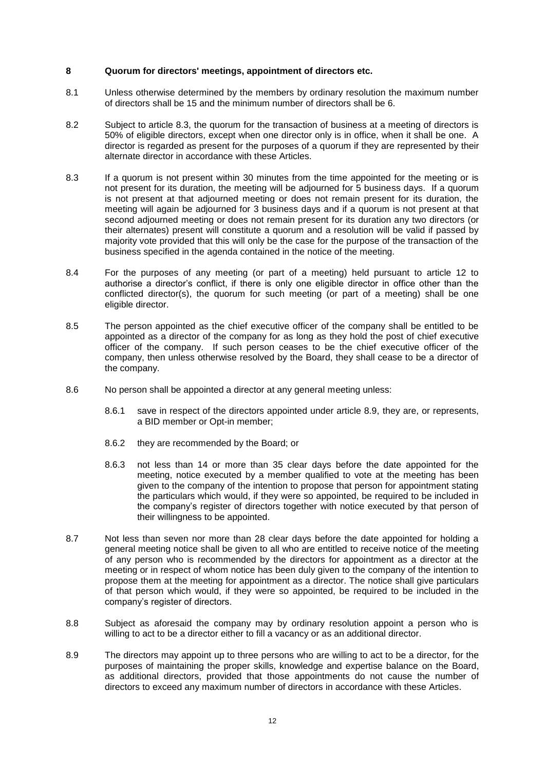### **8 Quorum for directors' meetings, appointment of directors etc.**

- 8.1 Unless otherwise determined by the members by ordinary resolution the maximum number of directors shall be 15 and the minimum number of directors shall be 6.
- 8.2 Subject to article 8.3, the quorum for the transaction of business at a meeting of directors is 50% of eligible directors, except when one director only is in office, when it shall be one. A director is regarded as present for the purposes of a quorum if they are represented by their alternate director in accordance with these Articles.
- 8.3 If a quorum is not present within 30 minutes from the time appointed for the meeting or is not present for its duration, the meeting will be adjourned for 5 business days. If a quorum is not present at that adjourned meeting or does not remain present for its duration, the meeting will again be adjourned for 3 business days and if a quorum is not present at that second adjourned meeting or does not remain present for its duration any two directors (or their alternates) present will constitute a quorum and a resolution will be valid if passed by majority vote provided that this will only be the case for the purpose of the transaction of the business specified in the agenda contained in the notice of the meeting.
- 8.4 For the purposes of any meeting (or part of a meeting) held pursuant to article 12 to authorise a director's conflict, if there is only one eligible director in office other than the conflicted director(s), the quorum for such meeting (or part of a meeting) shall be one eligible director.
- 8.5 The person appointed as the chief executive officer of the company shall be entitled to be appointed as a director of the company for as long as they hold the post of chief executive officer of the company. If such person ceases to be the chief executive officer of the company, then unless otherwise resolved by the Board, they shall cease to be a director of the company.
- 8.6 No person shall be appointed a director at any general meeting unless:
	- 8.6.1 save in respect of the directors appointed under article 8.9, they are, or represents, a BID member or Opt-in member;
	- 8.6.2 they are recommended by the Board; or
	- 8.6.3 not less than 14 or more than 35 clear days before the date appointed for the meeting, notice executed by a member qualified to vote at the meeting has been given to the company of the intention to propose that person for appointment stating the particulars which would, if they were so appointed, be required to be included in the company's register of directors together with notice executed by that person of their willingness to be appointed.
- 8.7 Not less than seven nor more than 28 clear days before the date appointed for holding a general meeting notice shall be given to all who are entitled to receive notice of the meeting of any person who is recommended by the directors for appointment as a director at the meeting or in respect of whom notice has been duly given to the company of the intention to propose them at the meeting for appointment as a director. The notice shall give particulars of that person which would, if they were so appointed, be required to be included in the company's register of directors.
- 8.8 Subject as aforesaid the company may by ordinary resolution appoint a person who is willing to act to be a director either to fill a vacancy or as an additional director.
- 8.9 The directors may appoint up to three persons who are willing to act to be a director, for the purposes of maintaining the proper skills, knowledge and expertise balance on the Board, as additional directors, provided that those appointments do not cause the number of directors to exceed any maximum number of directors in accordance with these Articles.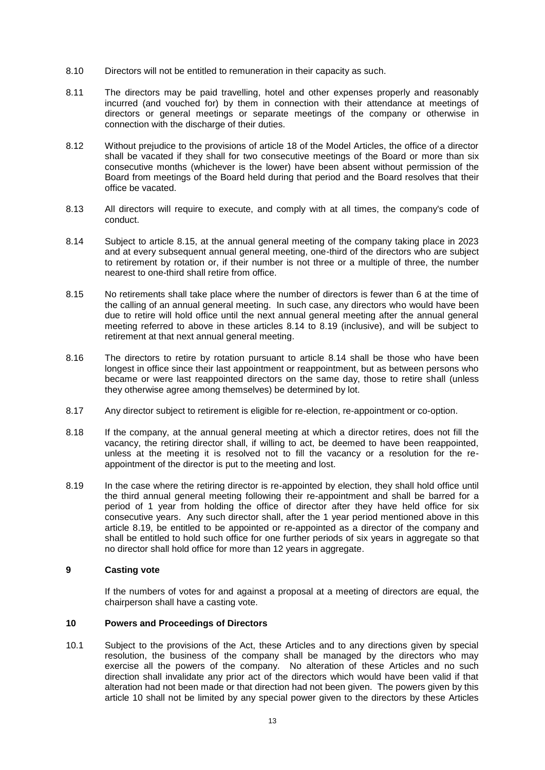- 8.10 Directors will not be entitled to remuneration in their capacity as such.
- 8.11 The directors may be paid travelling, hotel and other expenses properly and reasonably incurred (and vouched for) by them in connection with their attendance at meetings of directors or general meetings or separate meetings of the company or otherwise in connection with the discharge of their duties.
- 8.12 Without prejudice to the provisions of article 18 of the Model Articles, the office of a director shall be vacated if they shall for two consecutive meetings of the Board or more than six consecutive months (whichever is the lower) have been absent without permission of the Board from meetings of the Board held during that period and the Board resolves that their office be vacated.
- 8.13 All directors will require to execute, and comply with at all times, the company's code of conduct.
- 8.14 Subject to article 8.15, at the annual general meeting of the company taking place in 2023 and at every subsequent annual general meeting, one-third of the directors who are subject to retirement by rotation or, if their number is not three or a multiple of three, the number nearest to one-third shall retire from office.
- 8.15 No retirements shall take place where the number of directors is fewer than 6 at the time of the calling of an annual general meeting. In such case, any directors who would have been due to retire will hold office until the next annual general meeting after the annual general meeting referred to above in these articles 8.14 to 8.19 (inclusive), and will be subject to retirement at that next annual general meeting.
- 8.16 The directors to retire by rotation pursuant to article 8.14 shall be those who have been longest in office since their last appointment or reappointment, but as between persons who became or were last reappointed directors on the same day, those to retire shall (unless they otherwise agree among themselves) be determined by lot.
- 8.17 Any director subject to retirement is eligible for re-election, re-appointment or co-option.
- 8.18 If the company, at the annual general meeting at which a director retires, does not fill the vacancy, the retiring director shall, if willing to act, be deemed to have been reappointed, unless at the meeting it is resolved not to fill the vacancy or a resolution for the reappointment of the director is put to the meeting and lost.
- 8.19 In the case where the retiring director is re-appointed by election, they shall hold office until the third annual general meeting following their re-appointment and shall be barred for a period of 1 year from holding the office of director after they have held office for six consecutive years. Any such director shall, after the 1 year period mentioned above in this article 8.19, be entitled to be appointed or re-appointed as a director of the company and shall be entitled to hold such office for one further periods of six years in aggregate so that no director shall hold office for more than 12 years in aggregate.

# **9 Casting vote**

If the numbers of votes for and against a proposal at a meeting of directors are equal, the chairperson shall have a casting vote.

### **10 Powers and Proceedings of Directors**

10.1 Subject to the provisions of the Act, these Articles and to any directions given by special resolution, the business of the company shall be managed by the directors who may exercise all the powers of the company. No alteration of these Articles and no such direction shall invalidate any prior act of the directors which would have been valid if that alteration had not been made or that direction had not been given. The powers given by this article 10 shall not be limited by any special power given to the directors by these Articles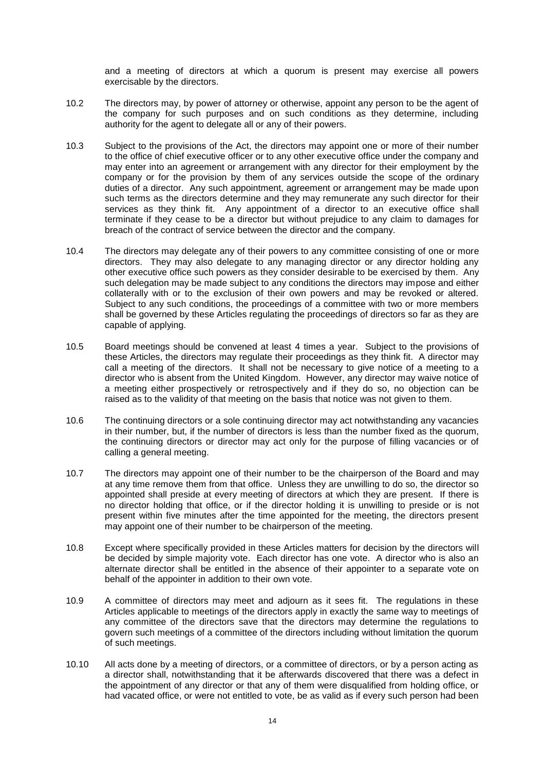and a meeting of directors at which a quorum is present may exercise all powers exercisable by the directors.

- 10.2 The directors may, by power of attorney or otherwise, appoint any person to be the agent of the company for such purposes and on such conditions as they determine, including authority for the agent to delegate all or any of their powers.
- 10.3 Subject to the provisions of the Act, the directors may appoint one or more of their number to the office of chief executive officer or to any other executive office under the company and may enter into an agreement or arrangement with any director for their employment by the company or for the provision by them of any services outside the scope of the ordinary duties of a director. Any such appointment, agreement or arrangement may be made upon such terms as the directors determine and they may remunerate any such director for their services as they think fit. Any appointment of a director to an executive office shall terminate if they cease to be a director but without prejudice to any claim to damages for breach of the contract of service between the director and the company.
- 10.4 The directors may delegate any of their powers to any committee consisting of one or more directors. They may also delegate to any managing director or any director holding any other executive office such powers as they consider desirable to be exercised by them. Any such delegation may be made subject to any conditions the directors may impose and either collaterally with or to the exclusion of their own powers and may be revoked or altered. Subject to any such conditions, the proceedings of a committee with two or more members shall be governed by these Articles regulating the proceedings of directors so far as they are capable of applying.
- 10.5 Board meetings should be convened at least 4 times a year. Subject to the provisions of these Articles, the directors may regulate their proceedings as they think fit. A director may call a meeting of the directors. It shall not be necessary to give notice of a meeting to a director who is absent from the United Kingdom. However, any director may waive notice of a meeting either prospectively or retrospectively and if they do so, no objection can be raised as to the validity of that meeting on the basis that notice was not given to them.
- 10.6 The continuing directors or a sole continuing director may act notwithstanding any vacancies in their number, but, if the number of directors is less than the number fixed as the quorum, the continuing directors or director may act only for the purpose of filling vacancies or of calling a general meeting.
- 10.7 The directors may appoint one of their number to be the chairperson of the Board and may at any time remove them from that office. Unless they are unwilling to do so, the director so appointed shall preside at every meeting of directors at which they are present. If there is no director holding that office, or if the director holding it is unwilling to preside or is not present within five minutes after the time appointed for the meeting, the directors present may appoint one of their number to be chairperson of the meeting.
- 10.8 Except where specifically provided in these Articles matters for decision by the directors will be decided by simple majority vote. Each director has one vote. A director who is also an alternate director shall be entitled in the absence of their appointer to a separate vote on behalf of the appointer in addition to their own vote.
- 10.9 A committee of directors may meet and adjourn as it sees fit. The regulations in these Articles applicable to meetings of the directors apply in exactly the same way to meetings of any committee of the directors save that the directors may determine the regulations to govern such meetings of a committee of the directors including without limitation the quorum of such meetings.
- 10.10 All acts done by a meeting of directors, or a committee of directors, or by a person acting as a director shall, notwithstanding that it be afterwards discovered that there was a defect in the appointment of any director or that any of them were disqualified from holding office, or had vacated office, or were not entitled to vote, be as valid as if every such person had been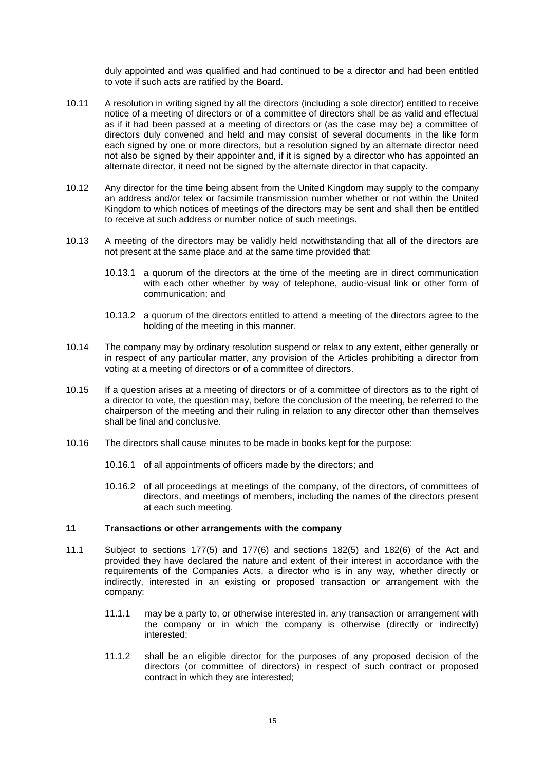duly appointed and was qualified and had continued to be a director and had been entitled to vote if such acts are ratified by the Board.

- 10.11 A resolution in writing signed by all the directors (including a sole director) entitled to receive notice of a meeting of directors or of a committee of directors shall be as valid and effectual as if it had been passed at a meeting of directors or (as the case may be) a committee of directors duly convened and held and may consist of several documents in the like form each signed by one or more directors, but a resolution signed by an alternate director need not also be signed by their appointer and, if it is signed by a director who has appointed an alternate director, it need not be signed by the alternate director in that capacity.
- 10.12 Any director for the time being absent from the United Kingdom may supply to the company an address and/or telex or facsimile transmission number whether or not within the United Kingdom to which notices of meetings of the directors may be sent and shall then be entitled to receive at such address or number notice of such meetings.
- 10.13 A meeting of the directors may be validly held notwithstanding that all of the directors are not present at the same place and at the same time provided that:
	- 10.13.1 a quorum of the directors at the time of the meeting are in direct communication with each other whether by way of telephone, audio-visual link or other form of communication; and
	- 10.13.2 a quorum of the directors entitled to attend a meeting of the directors agree to the holding of the meeting in this manner.
- 10.14 The company may by ordinary resolution suspend or relax to any extent, either generally or in respect of any particular matter, any provision of the Articles prohibiting a director from voting at a meeting of directors or of a committee of directors.
- 10.15 If a question arises at a meeting of directors or of a committee of directors as to the right of a director to vote, the question may, before the conclusion of the meeting, be referred to the chairperson of the meeting and their ruling in relation to any director other than themselves shall be final and conclusive.
- 10.16 The directors shall cause minutes to be made in books kept for the purpose:
	- 10.16.1 of all appointments of officers made by the directors; and
	- 10.16.2 of all proceedings at meetings of the company, of the directors, of committees of directors, and meetings of members, including the names of the directors present at each such meeting.

### **11 Transactions or other arrangements with the company**

- 11.1 Subject to sections 177(5) and 177(6) and sections 182(5) and 182(6) of the Act and provided they have declared the nature and extent of their interest in accordance with the requirements of the Companies Acts, a director who is in any way, whether directly or indirectly, interested in an existing or proposed transaction or arrangement with the company:
	- 11.1.1 may be a party to, or otherwise interested in, any transaction or arrangement with the company or in which the company is otherwise (directly or indirectly) interested;
	- 11.1.2 shall be an eligible director for the purposes of any proposed decision of the directors (or committee of directors) in respect of such contract or proposed contract in which they are interested;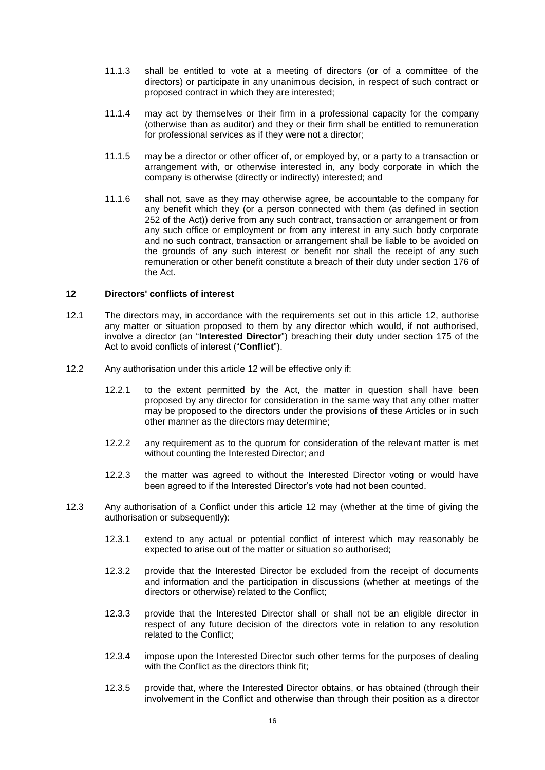- 11.1.3 shall be entitled to vote at a meeting of directors (or of a committee of the directors) or participate in any unanimous decision, in respect of such contract or proposed contract in which they are interested;
- 11.1.4 may act by themselves or their firm in a professional capacity for the company (otherwise than as auditor) and they or their firm shall be entitled to remuneration for professional services as if they were not a director;
- 11.1.5 may be a director or other officer of, or employed by, or a party to a transaction or arrangement with, or otherwise interested in, any body corporate in which the company is otherwise (directly or indirectly) interested; and
- 11.1.6 shall not, save as they may otherwise agree, be accountable to the company for any benefit which they (or a person connected with them (as defined in section 252 of the Act)) derive from any such contract, transaction or arrangement or from any such office or employment or from any interest in any such body corporate and no such contract, transaction or arrangement shall be liable to be avoided on the grounds of any such interest or benefit nor shall the receipt of any such remuneration or other benefit constitute a breach of their duty under section 176 of the Act.

### **12 Directors' conflicts of interest**

- 12.1 The directors may, in accordance with the requirements set out in this article 12, authorise any matter or situation proposed to them by any director which would, if not authorised, involve a director (an "**Interested Director**") breaching their duty under section 175 of the Act to avoid conflicts of interest ("**Conflict**").
- 12.2 Any authorisation under this article 12 will be effective only if:
	- 12.2.1 to the extent permitted by the Act, the matter in question shall have been proposed by any director for consideration in the same way that any other matter may be proposed to the directors under the provisions of these Articles or in such other manner as the directors may determine;
	- 12.2.2 any requirement as to the quorum for consideration of the relevant matter is met without counting the Interested Director; and
	- 12.2.3 the matter was agreed to without the Interested Director voting or would have been agreed to if the Interested Director's vote had not been counted.
- 12.3 Any authorisation of a Conflict under this article 12 may (whether at the time of giving the authorisation or subsequently):
	- 12.3.1 extend to any actual or potential conflict of interest which may reasonably be expected to arise out of the matter or situation so authorised;
	- 12.3.2 provide that the Interested Director be excluded from the receipt of documents and information and the participation in discussions (whether at meetings of the directors or otherwise) related to the Conflict;
	- 12.3.3 provide that the Interested Director shall or shall not be an eligible director in respect of any future decision of the directors vote in relation to any resolution related to the Conflict;
	- 12.3.4 impose upon the Interested Director such other terms for the purposes of dealing with the Conflict as the directors think fit;
	- 12.3.5 provide that, where the Interested Director obtains, or has obtained (through their involvement in the Conflict and otherwise than through their position as a director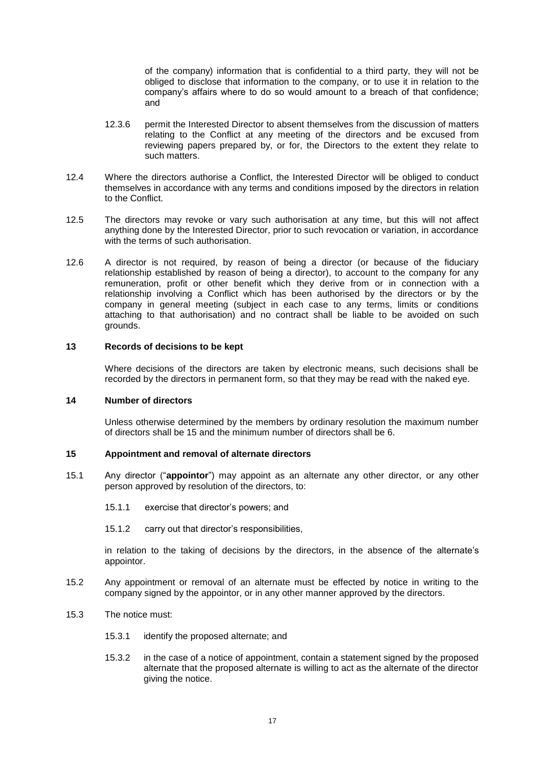of the company) information that is confidential to a third party, they will not be obliged to disclose that information to the company, or to use it in relation to the company's affairs where to do so would amount to a breach of that confidence; and

- 12.3.6 permit the Interested Director to absent themselves from the discussion of matters relating to the Conflict at any meeting of the directors and be excused from reviewing papers prepared by, or for, the Directors to the extent they relate to such matters.
- 12.4 Where the directors authorise a Conflict, the Interested Director will be obliged to conduct themselves in accordance with any terms and conditions imposed by the directors in relation to the Conflict.
- 12.5 The directors may revoke or vary such authorisation at any time, but this will not affect anything done by the Interested Director, prior to such revocation or variation, in accordance with the terms of such authorisation.
- 12.6 A director is not required, by reason of being a director (or because of the fiduciary relationship established by reason of being a director), to account to the company for any remuneration, profit or other benefit which they derive from or in connection with a relationship involving a Conflict which has been authorised by the directors or by the company in general meeting (subject in each case to any terms, limits or conditions attaching to that authorisation) and no contract shall be liable to be avoided on such grounds.

# **13 Records of decisions to be kept**

Where decisions of the directors are taken by electronic means, such decisions shall be recorded by the directors in permanent form, so that they may be read with the naked eye.

### **14 Number of directors**

Unless otherwise determined by the members by ordinary resolution the maximum number of directors shall be 15 and the minimum number of directors shall be 6.

### **15 Appointment and removal of alternate directors**

- 15.1 Any director ("**appointor**") may appoint as an alternate any other director, or any other person approved by resolution of the directors, to:
	- 15.1.1 exercise that director's powers; and
	- 15.1.2 carry out that director's responsibilities,

in relation to the taking of decisions by the directors, in the absence of the alternate's appointor.

- 15.2 Any appointment or removal of an alternate must be effected by notice in writing to the company signed by the appointor, or in any other manner approved by the directors.
- 15.3 The notice must:
	- 15.3.1 identify the proposed alternate; and
	- 15.3.2 in the case of a notice of appointment, contain a statement signed by the proposed alternate that the proposed alternate is willing to act as the alternate of the director giving the notice.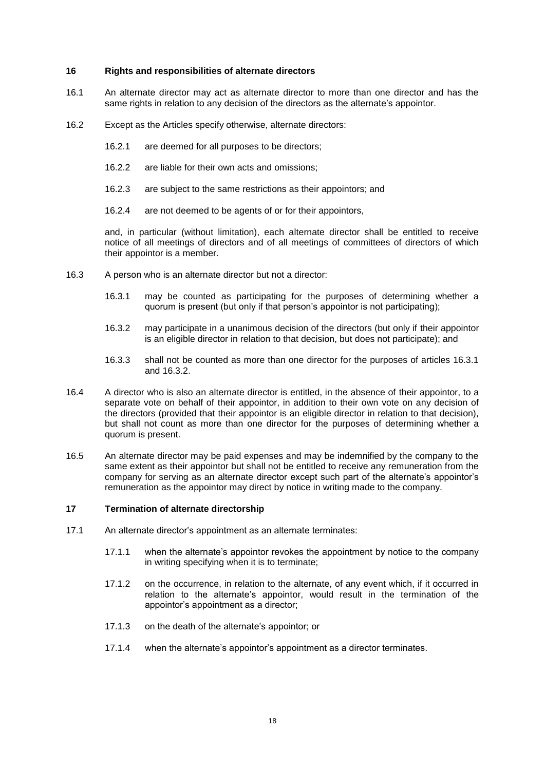## **16 Rights and responsibilities of alternate directors**

- 16.1 An alternate director may act as alternate director to more than one director and has the same rights in relation to any decision of the directors as the alternate's appointor.
- 16.2 Except as the Articles specify otherwise, alternate directors:
	- 16.2.1 are deemed for all purposes to be directors;
	- 16.2.2 are liable for their own acts and omissions;
	- 16.2.3 are subject to the same restrictions as their appointors; and
	- 16.2.4 are not deemed to be agents of or for their appointors,

and, in particular (without limitation), each alternate director shall be entitled to receive notice of all meetings of directors and of all meetings of committees of directors of which their appointor is a member.

- 16.3 A person who is an alternate director but not a director:
	- 16.3.1 may be counted as participating for the purposes of determining whether a quorum is present (but only if that person's appointor is not participating);
	- 16.3.2 may participate in a unanimous decision of the directors (but only if their appointor is an eligible director in relation to that decision, but does not participate); and
	- 16.3.3 shall not be counted as more than one director for the purposes of articles 16.3.1 and 16.3.2.
- 16.4 A director who is also an alternate director is entitled, in the absence of their appointor, to a separate vote on behalf of their appointor, in addition to their own vote on any decision of the directors (provided that their appointor is an eligible director in relation to that decision), but shall not count as more than one director for the purposes of determining whether a quorum is present.
- 16.5 An alternate director may be paid expenses and may be indemnified by the company to the same extent as their appointor but shall not be entitled to receive any remuneration from the company for serving as an alternate director except such part of the alternate's appointor's remuneration as the appointor may direct by notice in writing made to the company.

# **17 Termination of alternate directorship**

- 17.1 An alternate director's appointment as an alternate terminates:
	- 17.1.1 when the alternate's appointor revokes the appointment by notice to the company in writing specifying when it is to terminate;
	- 17.1.2 on the occurrence, in relation to the alternate, of any event which, if it occurred in relation to the alternate's appointor, would result in the termination of the appointor's appointment as a director;
	- 17.1.3 on the death of the alternate's appointor; or
	- 17.1.4 when the alternate's appointor's appointment as a director terminates.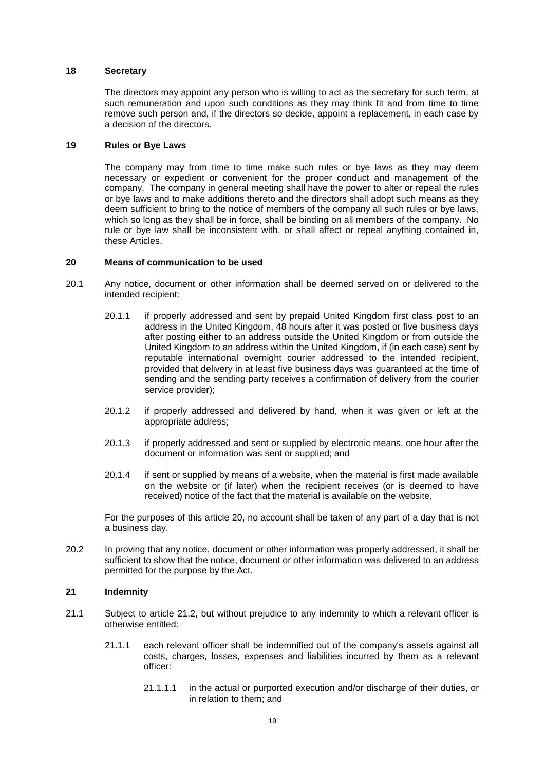## **18 Secretary**

The directors may appoint any person who is willing to act as the secretary for such term, at such remuneration and upon such conditions as they may think fit and from time to time remove such person and, if the directors so decide, appoint a replacement, in each case by a decision of the directors.

#### **19 Rules or Bye Laws**

The company may from time to time make such rules or bye laws as they may deem necessary or expedient or convenient for the proper conduct and management of the company. The company in general meeting shall have the power to alter or repeal the rules or bye laws and to make additions thereto and the directors shall adopt such means as they deem sufficient to bring to the notice of members of the company all such rules or bye laws, which so long as they shall be in force, shall be binding on all members of the company. No rule or bye law shall be inconsistent with, or shall affect or repeal anything contained in, these Articles.

#### **20 Means of communication to be used**

- 20.1 Any notice, document or other information shall be deemed served on or delivered to the intended recipient:
	- 20.1.1 if properly addressed and sent by prepaid United Kingdom first class post to an address in the United Kingdom, 48 hours after it was posted or five business days after posting either to an address outside the United Kingdom or from outside the United Kingdom to an address within the United Kingdom, if (in each case) sent by reputable international overnight courier addressed to the intended recipient, provided that delivery in at least five business days was guaranteed at the time of sending and the sending party receives a confirmation of delivery from the courier service provider);
	- 20.1.2 if properly addressed and delivered by hand, when it was given or left at the appropriate address;
	- 20.1.3 if properly addressed and sent or supplied by electronic means, one hour after the document or information was sent or supplied; and
	- 20.1.4 if sent or supplied by means of a website, when the material is first made available on the website or (if later) when the recipient receives (or is deemed to have received) notice of the fact that the material is available on the website.

For the purposes of this article 20, no account shall be taken of any part of a day that is not a business day.

20.2 In proving that any notice, document or other information was properly addressed, it shall be sufficient to show that the notice, document or other information was delivered to an address permitted for the purpose by the Act.

### **21 Indemnity**

- 21.1 Subject to article 21.2, but without prejudice to any indemnity to which a relevant officer is otherwise entitled:
	- 21.1.1 each relevant officer shall be indemnified out of the company's assets against all costs, charges, losses, expenses and liabilities incurred by them as a relevant officer:
		- 21.1.1.1 in the actual or purported execution and/or discharge of their duties, or in relation to them; and